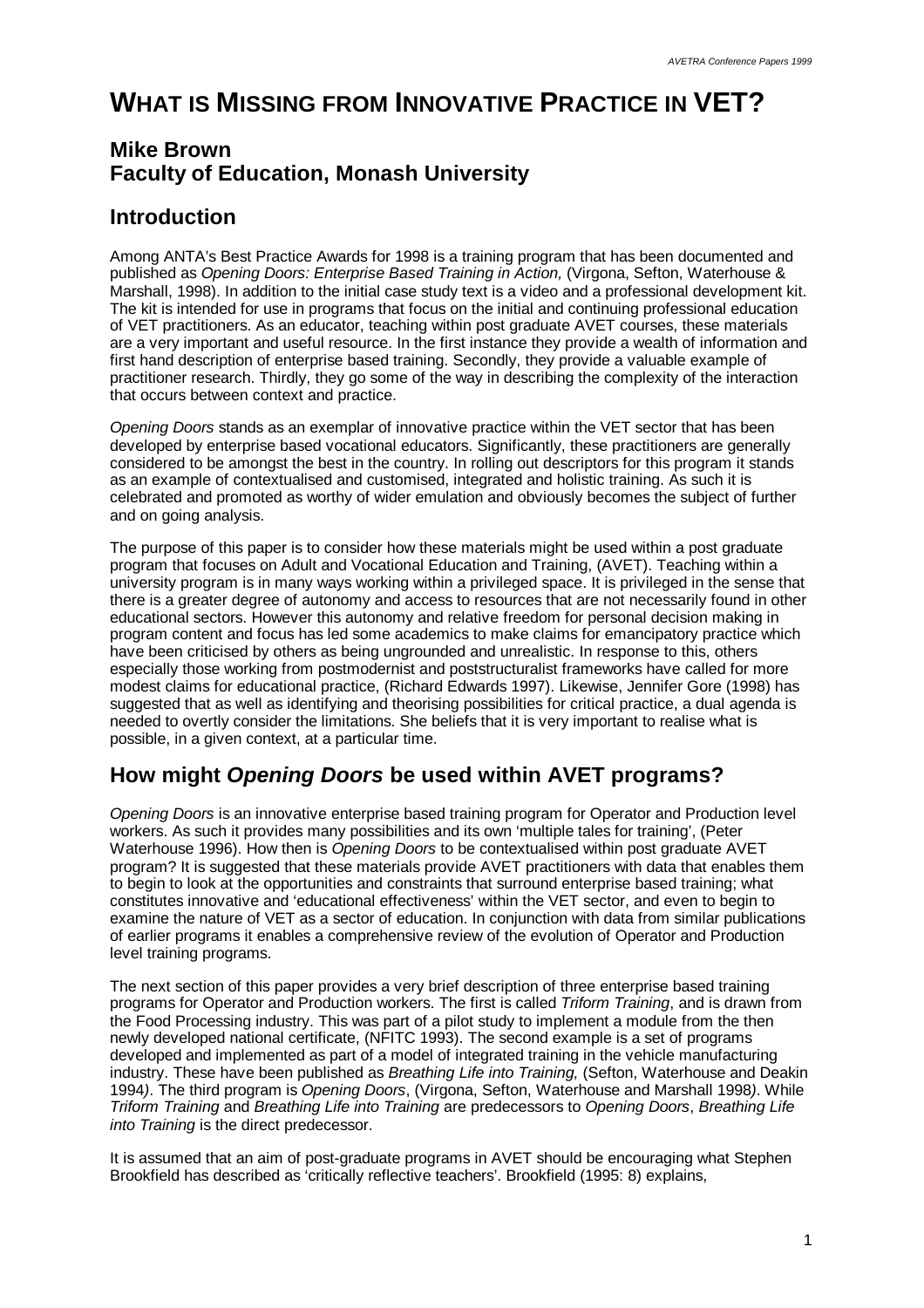# **WHAT IS MISSING FROM INNOVATIVE PRACTICE IN VET?**

# **Mike Brown Faculty of Education, Monash University**

# **Introduction**

Among ANTA's Best Practice Awards for 1998 is a training program that has been documented and published as *Opening Doors: Enterprise Based Training in Action,* (Virgona, Sefton, Waterhouse & Marshall, 1998). In addition to the initial case study text is a video and a professional development kit. The kit is intended for use in programs that focus on the initial and continuing professional education of VET practitioners. As an educator, teaching within post graduate AVET courses, these materials are a very important and useful resource. In the first instance they provide a wealth of information and first hand description of enterprise based training. Secondly, they provide a valuable example of practitioner research. Thirdly, they go some of the way in describing the complexity of the interaction that occurs between context and practice.

*Opening Doors* stands as an exemplar of innovative practice within the VET sector that has been developed by enterprise based vocational educators. Significantly, these practitioners are generally considered to be amongst the best in the country. In rolling out descriptors for this program it stands as an example of contextualised and customised, integrated and holistic training. As such it is celebrated and promoted as worthy of wider emulation and obviously becomes the subject of further and on going analysis.

The purpose of this paper is to consider how these materials might be used within a post graduate program that focuses on Adult and Vocational Education and Training, (AVET). Teaching within a university program is in many ways working within a privileged space. It is privileged in the sense that there is a greater degree of autonomy and access to resources that are not necessarily found in other educational sectors. However this autonomy and relative freedom for personal decision making in program content and focus has led some academics to make claims for emancipatory practice which have been criticised by others as being ungrounded and unrealistic. In response to this, others especially those working from postmodernist and poststructuralist frameworks have called for more modest claims for educational practice, (Richard Edwards 1997). Likewise, Jennifer Gore (1998) has suggested that as well as identifying and theorising possibilities for critical practice, a dual agenda is needed to overtly consider the limitations. She beliefs that it is very important to realise what is possible, in a given context, at a particular time.

# **How might** *Opening Doors* **be used within AVET programs?**

*Opening Doors* is an innovative enterprise based training program for Operator and Production level workers. As such it provides many possibilities and its own 'multiple tales for training', (Peter Waterhouse 1996). How then is *Opening Doors* to be contextualised within post graduate AVET program? It is suggested that these materials provide AVET practitioners with data that enables them to begin to look at the opportunities and constraints that surround enterprise based training; what constitutes innovative and 'educational effectiveness' within the VET sector, and even to begin to examine the nature of VET as a sector of education. In conjunction with data from similar publications of earlier programs it enables a comprehensive review of the evolution of Operator and Production level training programs.

The next section of this paper provides a very brief description of three enterprise based training programs for Operator and Production workers. The first is called *Triform Training*, and is drawn from the Food Processing industry. This was part of a pilot study to implement a module from the then newly developed national certificate, (NFITC 1993). The second example is a set of programs developed and implemented as part of a model of integrated training in the vehicle manufacturing industry. These have been published as *Breathing Life into Training,* (Sefton, Waterhouse and Deakin 1994*)*. The third program is *Opening Doors*, (Virgona, Sefton, Waterhouse and Marshall 1998*)*. While *Triform Training* and *Breathing Life into Training* are predecessors to *Opening Doors*, *Breathing Life into Training* is the direct predecessor.

It is assumed that an aim of post-graduate programs in AVET should be encouraging what Stephen Brookfield has described as 'critically reflective teachers'. Brookfield (1995: 8) explains,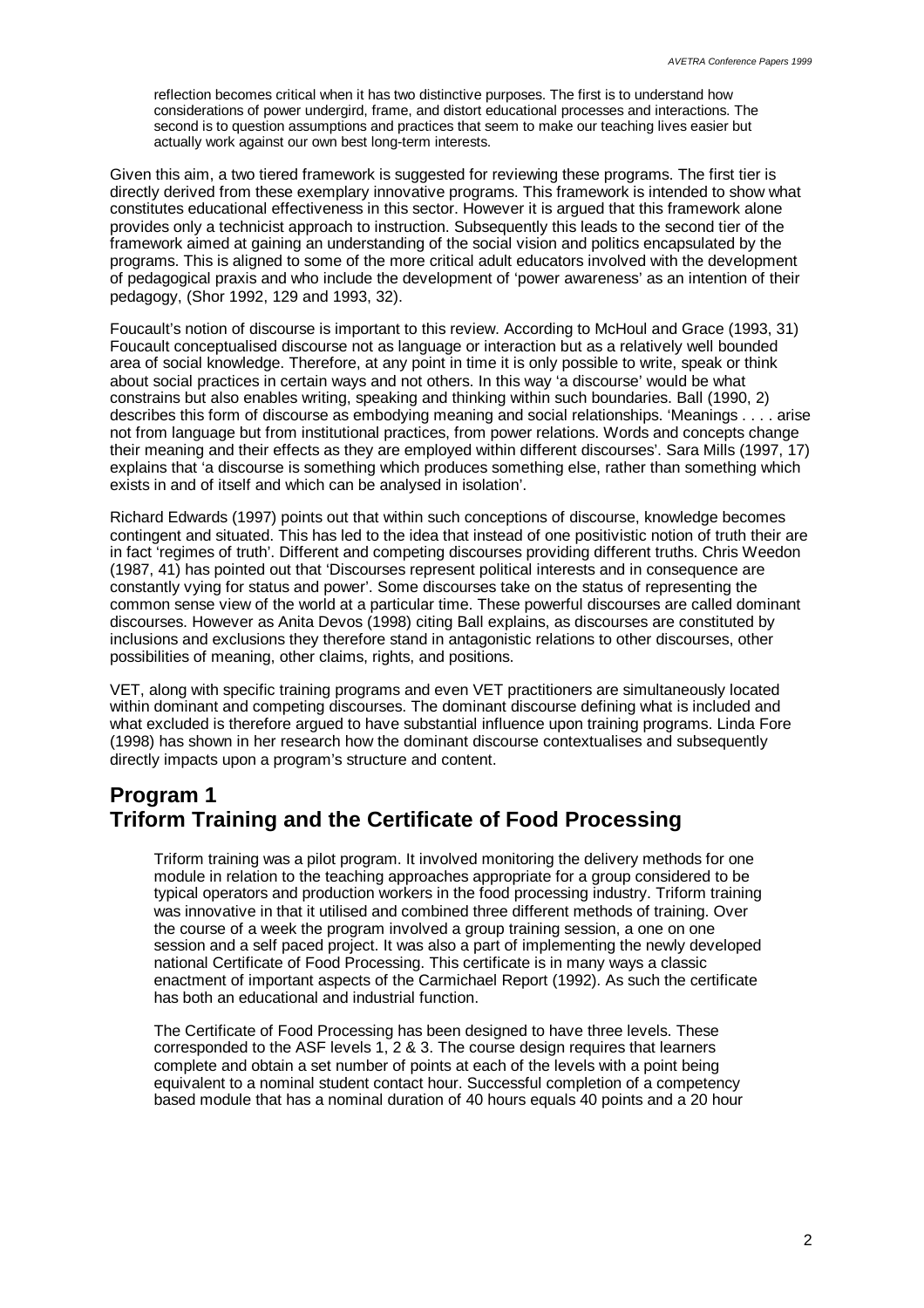reflection becomes critical when it has two distinctive purposes. The first is to understand how considerations of power undergird, frame, and distort educational processes and interactions. The second is to question assumptions and practices that seem to make our teaching lives easier but actually work against our own best long-term interests.

Given this aim, a two tiered framework is suggested for reviewing these programs. The first tier is directly derived from these exemplary innovative programs. This framework is intended to show what constitutes educational effectiveness in this sector. However it is argued that this framework alone provides only a technicist approach to instruction. Subsequently this leads to the second tier of the framework aimed at gaining an understanding of the social vision and politics encapsulated by the programs. This is aligned to some of the more critical adult educators involved with the development of pedagogical praxis and who include the development of 'power awareness' as an intention of their pedagogy, (Shor 1992, 129 and 1993, 32).

Foucault's notion of discourse is important to this review. According to McHoul and Grace (1993, 31) Foucault conceptualised discourse not as language or interaction but as a relatively well bounded area of social knowledge. Therefore, at any point in time it is only possible to write, speak or think about social practices in certain ways and not others. In this way 'a discourse' would be what constrains but also enables writing, speaking and thinking within such boundaries. Ball (1990, 2) describes this form of discourse as embodying meaning and social relationships. 'Meanings . . . . arise not from language but from institutional practices, from power relations. Words and concepts change their meaning and their effects as they are employed within different discourses'. Sara Mills (1997, 17) explains that 'a discourse is something which produces something else, rather than something which exists in and of itself and which can be analysed in isolation'.

Richard Edwards (1997) points out that within such conceptions of discourse, knowledge becomes contingent and situated. This has led to the idea that instead of one positivistic notion of truth their are in fact 'regimes of truth'. Different and competing discourses providing different truths. Chris Weedon (1987, 41) has pointed out that 'Discourses represent political interests and in consequence are constantly vying for status and power'. Some discourses take on the status of representing the common sense view of the world at a particular time. These powerful discourses are called dominant discourses. However as Anita Devos (1998) citing Ball explains, as discourses are constituted by inclusions and exclusions they therefore stand in antagonistic relations to other discourses, other possibilities of meaning, other claims, rights, and positions.

VET, along with specific training programs and even VET practitioners are simultaneously located within dominant and competing discourses. The dominant discourse defining what is included and what excluded is therefore argued to have substantial influence upon training programs. Linda Fore (1998) has shown in her research how the dominant discourse contextualises and subsequently directly impacts upon a program's structure and content.

# **Program 1 Triform Training and the Certificate of Food Processing**

Triform training was a pilot program. It involved monitoring the delivery methods for one module in relation to the teaching approaches appropriate for a group considered to be typical operators and production workers in the food processing industry. Triform training was innovative in that it utilised and combined three different methods of training. Over the course of a week the program involved a group training session, a one on one session and a self paced project. It was also a part of implementing the newly developed national Certificate of Food Processing. This certificate is in many ways a classic enactment of important aspects of the Carmichael Report (1992). As such the certificate has both an educational and industrial function.

The Certificate of Food Processing has been designed to have three levels. These corresponded to the ASF levels 1, 2 & 3. The course design requires that learners complete and obtain a set number of points at each of the levels with a point being equivalent to a nominal student contact hour. Successful completion of a competency based module that has a nominal duration of 40 hours equals 40 points and a 20 hour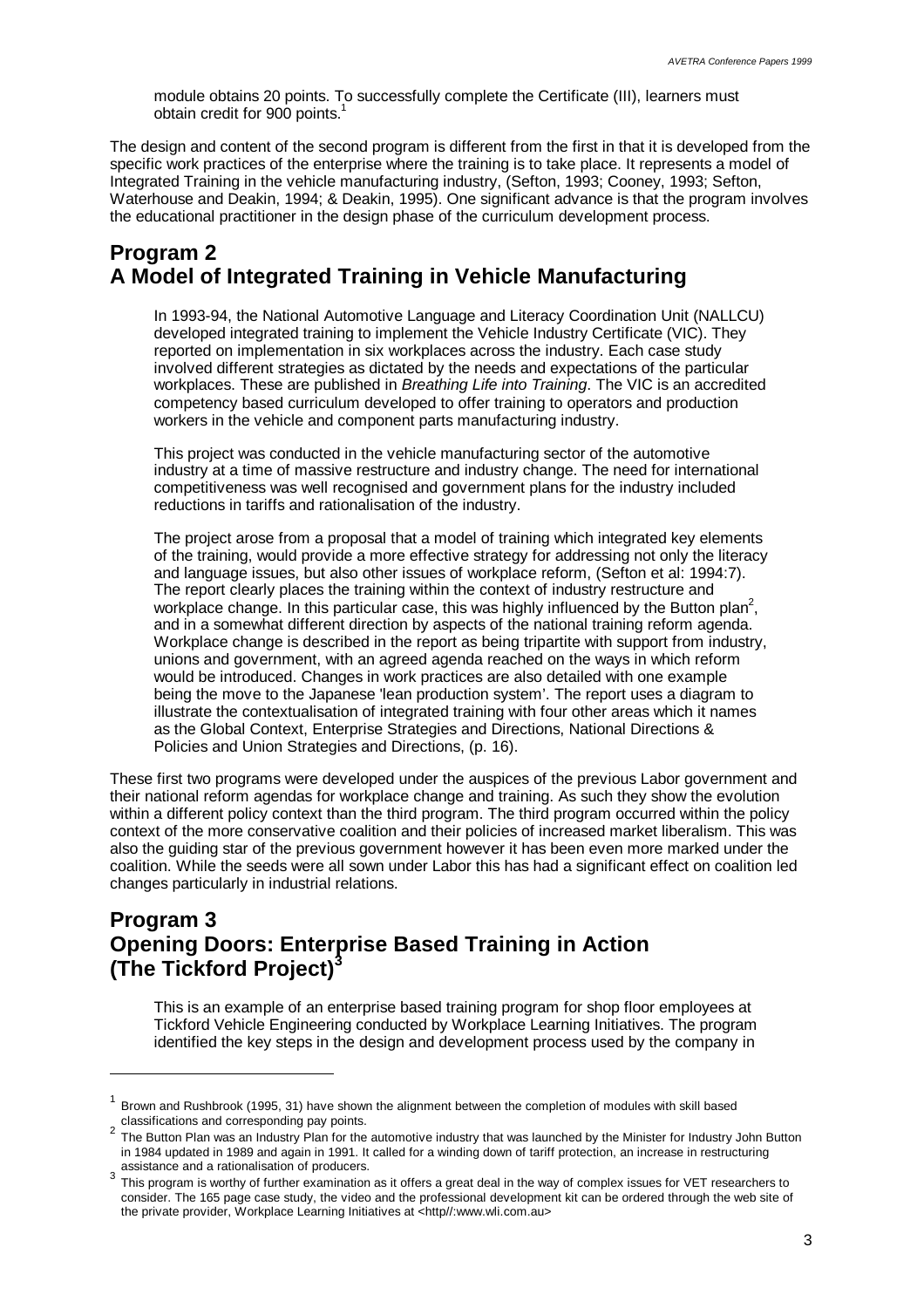module obtains 20 points. To successfully complete the Certificate (III), learners must obtain credit for 900 points.<sup>1</sup>

The design and content of the second program is different from the first in that it is developed from the specific work practices of the enterprise where the training is to take place. It represents a model of Integrated Training in the vehicle manufacturing industry, (Sefton, 1993; Cooney, 1993; Sefton, Waterhouse and Deakin, 1994; & Deakin, 1995). One significant advance is that the program involves the educational practitioner in the design phase of the curriculum development process.

### **Program 2 A Model of Integrated Training in Vehicle Manufacturing**

In 1993-94, the National Automotive Language and Literacy Coordination Unit (NALLCU) developed integrated training to implement the Vehicle Industry Certificate (VIC). They reported on implementation in six workplaces across the industry. Each case study involved different strategies as dictated by the needs and expectations of the particular workplaces. These are published in *Breathing Life into Training*. The VIC is an accredited competency based curriculum developed to offer training to operators and production workers in the vehicle and component parts manufacturing industry.

This project was conducted in the vehicle manufacturing sector of the automotive industry at a time of massive restructure and industry change. The need for international competitiveness was well recognised and government plans for the industry included reductions in tariffs and rationalisation of the industry.

The project arose from a proposal that a model of training which integrated key elements of the training, would provide a more effective strategy for addressing not only the literacy and language issues, but also other issues of workplace reform, (Sefton et al: 1994:7). The report clearly places the training within the context of industry restructure and workplace change. In this particular case, this was highly influenced by the Button plan<sup>2</sup>, and in a somewhat different direction by aspects of the national training reform agenda. Workplace change is described in the report as being tripartite with support from industry, unions and government, with an agreed agenda reached on the ways in which reform would be introduced. Changes in work practices are also detailed with one example being the move to the Japanese 'lean production system'. The report uses a diagram to illustrate the contextualisation of integrated training with four other areas which it names as the Global Context, Enterprise Strategies and Directions, National Directions & Policies and Union Strategies and Directions, (p. 16).

These first two programs were developed under the auspices of the previous Labor government and their national reform agendas for workplace change and training. As such they show the evolution within a different policy context than the third program. The third program occurred within the policy context of the more conservative coalition and their policies of increased market liberalism. This was also the guiding star of the previous government however it has been even more marked under the coalition. While the seeds were all sown under Labor this has had a significant effect on coalition led changes particularly in industrial relations.

### **Program 3 Opening Doors: Enterprise Based Training in Action (The Tickford Project)<sup>3</sup>**

l

This is an example of an enterprise based training program for shop floor employees at Tickford Vehicle Engineering conducted by Workplace Learning Initiatives. The program identified the key steps in the design and development process used by the company in

<sup>1</sup> Brown and Rushbrook (1995, 31) have shown the alignment between the completion of modules with skill based classifications and corresponding pay points.

<sup>2</sup> The Button Plan was an Industry Plan for the automotive industry that was launched by the Minister for Industry John Button in 1984 updated in 1989 and again in 1991. It called for a winding down of tariff protection, an increase in restructuring

assistance and a rationalisation of producers.<br><sup>3</sup> This program is worthy of further examination as it offers a great deal in the way of complex issues for VET researchers to consider. The 165 page case study, the video and the professional development kit can be ordered through the web site of the private provider, Workplace Learning Initiatives at <http//:www.wli.com.au>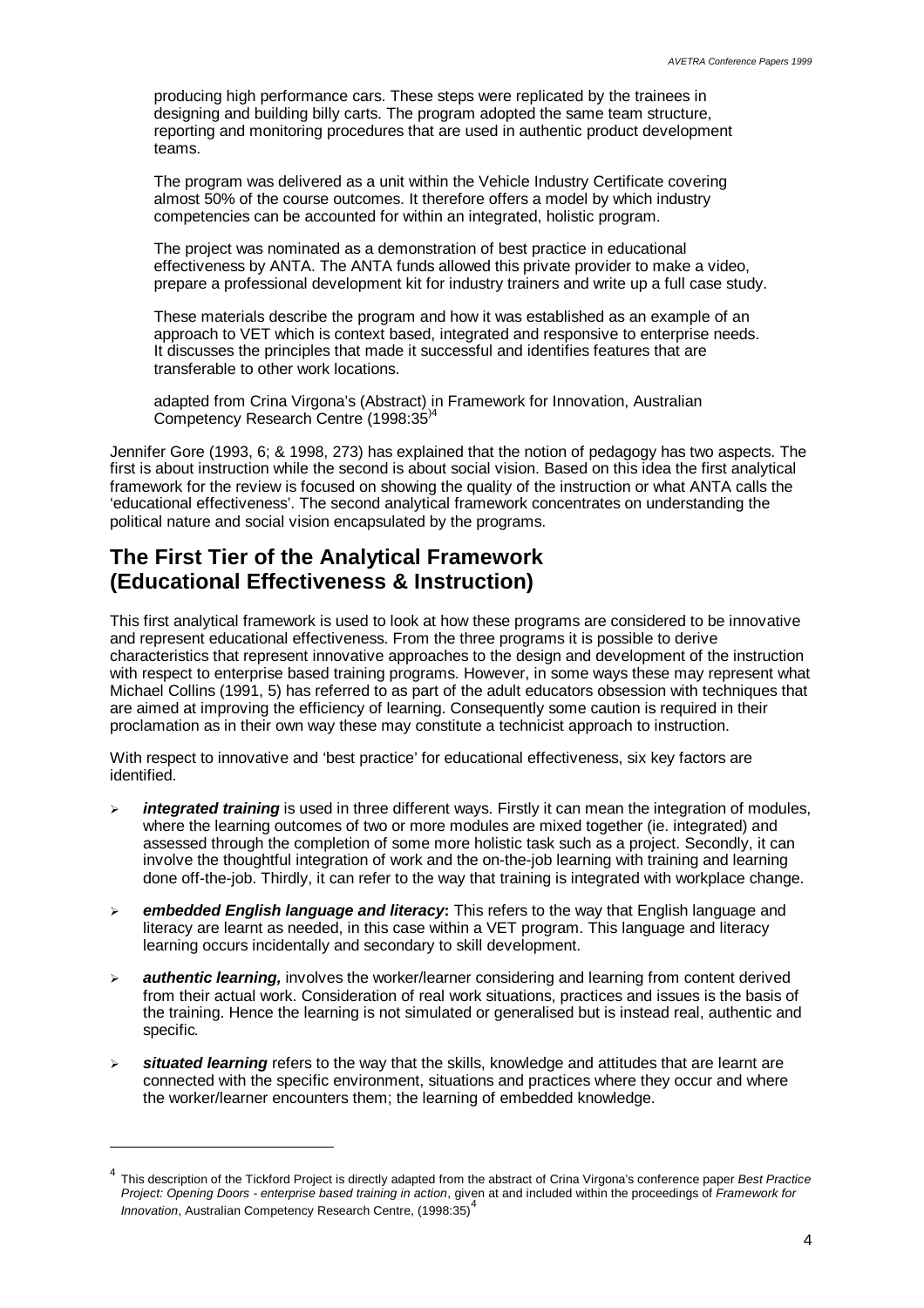producing high performance cars. These steps were replicated by the trainees in designing and building billy carts. The program adopted the same team structure, reporting and monitoring procedures that are used in authentic product development teams.

The program was delivered as a unit within the Vehicle Industry Certificate covering almost 50% of the course outcomes. It therefore offers a model by which industry competencies can be accounted for within an integrated, holistic program.

The project was nominated as a demonstration of best practice in educational effectiveness by ANTA. The ANTA funds allowed this private provider to make a video, prepare a professional development kit for industry trainers and write up a full case study.

These materials describe the program and how it was established as an example of an approach to VET which is context based, integrated and responsive to enterprise needs. It discusses the principles that made it successful and identifies features that are transferable to other work locations.

adapted from Crina Virgona's (Abstract) in Framework for Innovation, Australian Competency Research Centre (1998:35)4

Jennifer Gore (1993, 6; & 1998, 273) has explained that the notion of pedagogy has two aspects. The first is about instruction while the second is about social vision. Based on this idea the first analytical framework for the review is focused on showing the quality of the instruction or what ANTA calls the 'educational effectiveness'. The second analytical framework concentrates on understanding the political nature and social vision encapsulated by the programs.

# **The First Tier of the Analytical Framework (Educational Effectiveness & Instruction)**

 $\overline{a}$ 

This first analytical framework is used to look at how these programs are considered to be innovative and represent educational effectiveness. From the three programs it is possible to derive characteristics that represent innovative approaches to the design and development of the instruction with respect to enterprise based training programs. However, in some ways these may represent what Michael Collins (1991, 5) has referred to as part of the adult educators obsession with techniques that are aimed at improving the efficiency of learning. Consequently some caution is required in their proclamation as in their own way these may constitute a technicist approach to instruction.

With respect to innovative and 'best practice' for educational effectiveness, six key factors are identified.

- > *integrated training* is used in three different ways. Firstly it can mean the integration of modules, where the learning outcomes of two or more modules are mixed together (ie. integrated) and assessed through the completion of some more holistic task such as a project. Secondly, it can involve the thoughtful integration of work and the on-the-job learning with training and learning done off-the-job. Thirdly, it can refer to the way that training is integrated with workplace change.
- ÿ *embedded English language and literacy***:** This refers to the way that English language and literacy are learnt as needed, in this case within a VET program. This language and literacy learning occurs incidentally and secondary to skill development.
- ÿ *authentic learning,* involves the worker/learner considering and learning from content derived from their actual work. Consideration of real work situations, practices and issues is the basis of the training. Hence the learning is not simulated or generalised but is instead real, authentic and specific*.*
- situated learning refers to the way that the skills, knowledge and attitudes that are learnt are connected with the specific environment, situations and practices where they occur and where the worker/learner encounters them; the learning of embedded knowledge.

<sup>4</sup> This description of the Tickford Project is directly adapted from the abstract of Crina Virgona's conference paper *Best Practice Project: Opening Doors - enterprise based training in action*, given at and included within the proceedings of *Framework for Innovation*, Australian Competency Research Centre, (1998:35)<sup>4</sup>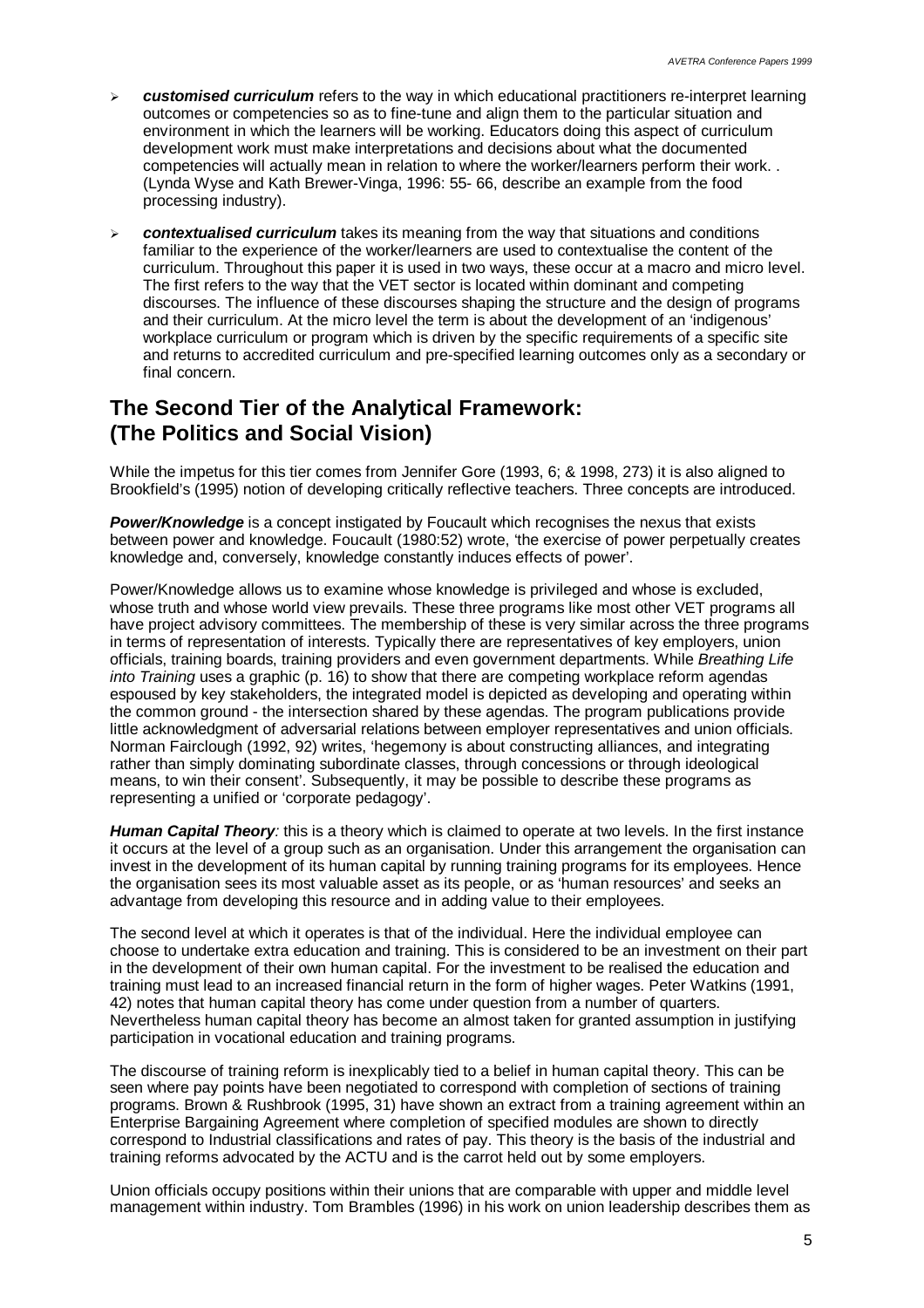- ÿ *customised curriculum* refers to the way in which educational practitioners re-interpret learning outcomes or competencies so as to fine-tune and align them to the particular situation and environment in which the learners will be working. Educators doing this aspect of curriculum development work must make interpretations and decisions about what the documented competencies will actually mean in relation to where the worker/learners perform their work. . (Lynda Wyse and Kath Brewer-Vinga, 1996: 55- 66, describe an example from the food processing industry).
- ÿ *contextualised curriculum* takes its meaning from the way that situations and conditions familiar to the experience of the worker/learners are used to contextualise the content of the curriculum. Throughout this paper it is used in two ways, these occur at a macro and micro level. The first refers to the way that the VET sector is located within dominant and competing discourses. The influence of these discourses shaping the structure and the design of programs and their curriculum. At the micro level the term is about the development of an 'indigenous' workplace curriculum or program which is driven by the specific requirements of a specific site and returns to accredited curriculum and pre-specified learning outcomes only as a secondary or final concern.

# **The Second Tier of the Analytical Framework: (The Politics and Social Vision)**

While the impetus for this tier comes from Jennifer Gore (1993, 6; & 1998, 273) it is also aligned to Brookfield's (1995) notion of developing critically reflective teachers. Three concepts are introduced.

**Power/Knowledge** is a concept instigated by Foucault which recognises the nexus that exists between power and knowledge. Foucault (1980:52) wrote, 'the exercise of power perpetually creates knowledge and, conversely, knowledge constantly induces effects of power'.

Power/Knowledge allows us to examine whose knowledge is privileged and whose is excluded, whose truth and whose world view prevails. These three programs like most other VET programs all have project advisory committees. The membership of these is very similar across the three programs in terms of representation of interests. Typically there are representatives of key employers, union officials, training boards, training providers and even government departments. While *Breathing Life into Training* uses a graphic (p. 16) to show that there are competing workplace reform agendas espoused by key stakeholders, the integrated model is depicted as developing and operating within the common ground - the intersection shared by these agendas. The program publications provide little acknowledgment of adversarial relations between employer representatives and union officials. Norman Fairclough (1992, 92) writes, 'hegemony is about constructing alliances, and integrating rather than simply dominating subordinate classes, through concessions or through ideological means, to win their consent'. Subsequently, it may be possible to describe these programs as representing a unified or 'corporate pedagogy'.

*Human Capital Theory:* this is a theory which is claimed to operate at two levels. In the first instance it occurs at the level of a group such as an organisation. Under this arrangement the organisation can invest in the development of its human capital by running training programs for its employees. Hence the organisation sees its most valuable asset as its people, or as 'human resources' and seeks an advantage from developing this resource and in adding value to their employees.

The second level at which it operates is that of the individual. Here the individual employee can choose to undertake extra education and training. This is considered to be an investment on their part in the development of their own human capital. For the investment to be realised the education and training must lead to an increased financial return in the form of higher wages. Peter Watkins (1991, 42) notes that human capital theory has come under question from a number of quarters. Nevertheless human capital theory has become an almost taken for granted assumption in justifying participation in vocational education and training programs.

The discourse of training reform is inexplicably tied to a belief in human capital theory. This can be seen where pay points have been negotiated to correspond with completion of sections of training programs. Brown & Rushbrook (1995, 31) have shown an extract from a training agreement within an Enterprise Bargaining Agreement where completion of specified modules are shown to directly correspond to Industrial classifications and rates of pay. This theory is the basis of the industrial and training reforms advocated by the ACTU and is the carrot held out by some employers.

Union officials occupy positions within their unions that are comparable with upper and middle level management within industry. Tom Brambles (1996) in his work on union leadership describes them as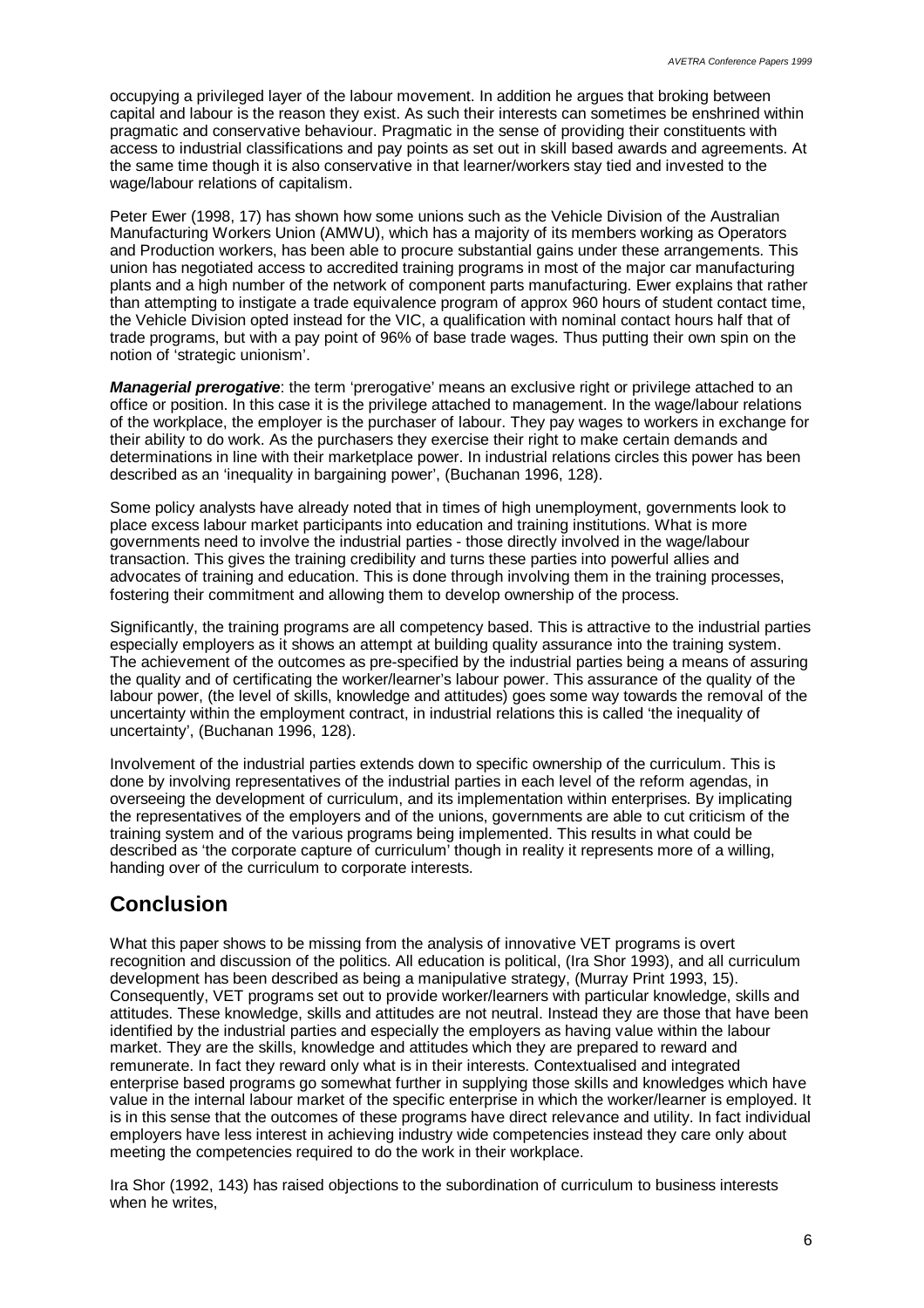occupying a privileged layer of the labour movement. In addition he argues that broking between capital and labour is the reason they exist. As such their interests can sometimes be enshrined within pragmatic and conservative behaviour. Pragmatic in the sense of providing their constituents with access to industrial classifications and pay points as set out in skill based awards and agreements. At the same time though it is also conservative in that learner/workers stay tied and invested to the wage/labour relations of capitalism.

Peter Ewer (1998, 17) has shown how some unions such as the Vehicle Division of the Australian Manufacturing Workers Union (AMWU), which has a majority of its members working as Operators and Production workers, has been able to procure substantial gains under these arrangements. This union has negotiated access to accredited training programs in most of the major car manufacturing plants and a high number of the network of component parts manufacturing. Ewer explains that rather than attempting to instigate a trade equivalence program of approx 960 hours of student contact time, the Vehicle Division opted instead for the VIC, a qualification with nominal contact hours half that of trade programs, but with a pay point of 96% of base trade wages. Thus putting their own spin on the notion of 'strategic unionism'.

*Managerial prerogative*: the term 'prerogative' means an exclusive right or privilege attached to an office or position. In this case it is the privilege attached to management. In the wage/labour relations of the workplace, the employer is the purchaser of labour. They pay wages to workers in exchange for their ability to do work. As the purchasers they exercise their right to make certain demands and determinations in line with their marketplace power. In industrial relations circles this power has been described as an 'inequality in bargaining power', (Buchanan 1996, 128).

Some policy analysts have already noted that in times of high unemployment, governments look to place excess labour market participants into education and training institutions. What is more governments need to involve the industrial parties - those directly involved in the wage/labour transaction. This gives the training credibility and turns these parties into powerful allies and advocates of training and education. This is done through involving them in the training processes, fostering their commitment and allowing them to develop ownership of the process.

Significantly, the training programs are all competency based. This is attractive to the industrial parties especially employers as it shows an attempt at building quality assurance into the training system. The achievement of the outcomes as pre-specified by the industrial parties being a means of assuring the quality and of certificating the worker/learner's labour power. This assurance of the quality of the labour power, (the level of skills, knowledge and attitudes) goes some way towards the removal of the uncertainty within the employment contract, in industrial relations this is called 'the inequality of uncertainty', (Buchanan 1996, 128).

Involvement of the industrial parties extends down to specific ownership of the curriculum. This is done by involving representatives of the industrial parties in each level of the reform agendas, in overseeing the development of curriculum, and its implementation within enterprises. By implicating the representatives of the employers and of the unions, governments are able to cut criticism of the training system and of the various programs being implemented. This results in what could be described as 'the corporate capture of curriculum' though in reality it represents more of a willing, handing over of the curriculum to corporate interests.

# **Conclusion**

What this paper shows to be missing from the analysis of innovative VET programs is overt recognition and discussion of the politics. All education is political, (Ira Shor 1993), and all curriculum development has been described as being a manipulative strategy, (Murray Print 1993, 15). Consequently, VET programs set out to provide worker/learners with particular knowledge, skills and attitudes. These knowledge, skills and attitudes are not neutral. Instead they are those that have been identified by the industrial parties and especially the employers as having value within the labour market. They are the skills, knowledge and attitudes which they are prepared to reward and remunerate. In fact they reward only what is in their interests. Contextualised and integrated enterprise based programs go somewhat further in supplying those skills and knowledges which have value in the internal labour market of the specific enterprise in which the worker/learner is employed. It is in this sense that the outcomes of these programs have direct relevance and utility. In fact individual employers have less interest in achieving industry wide competencies instead they care only about meeting the competencies required to do the work in their workplace.

Ira Shor (1992, 143) has raised objections to the subordination of curriculum to business interests when he writes,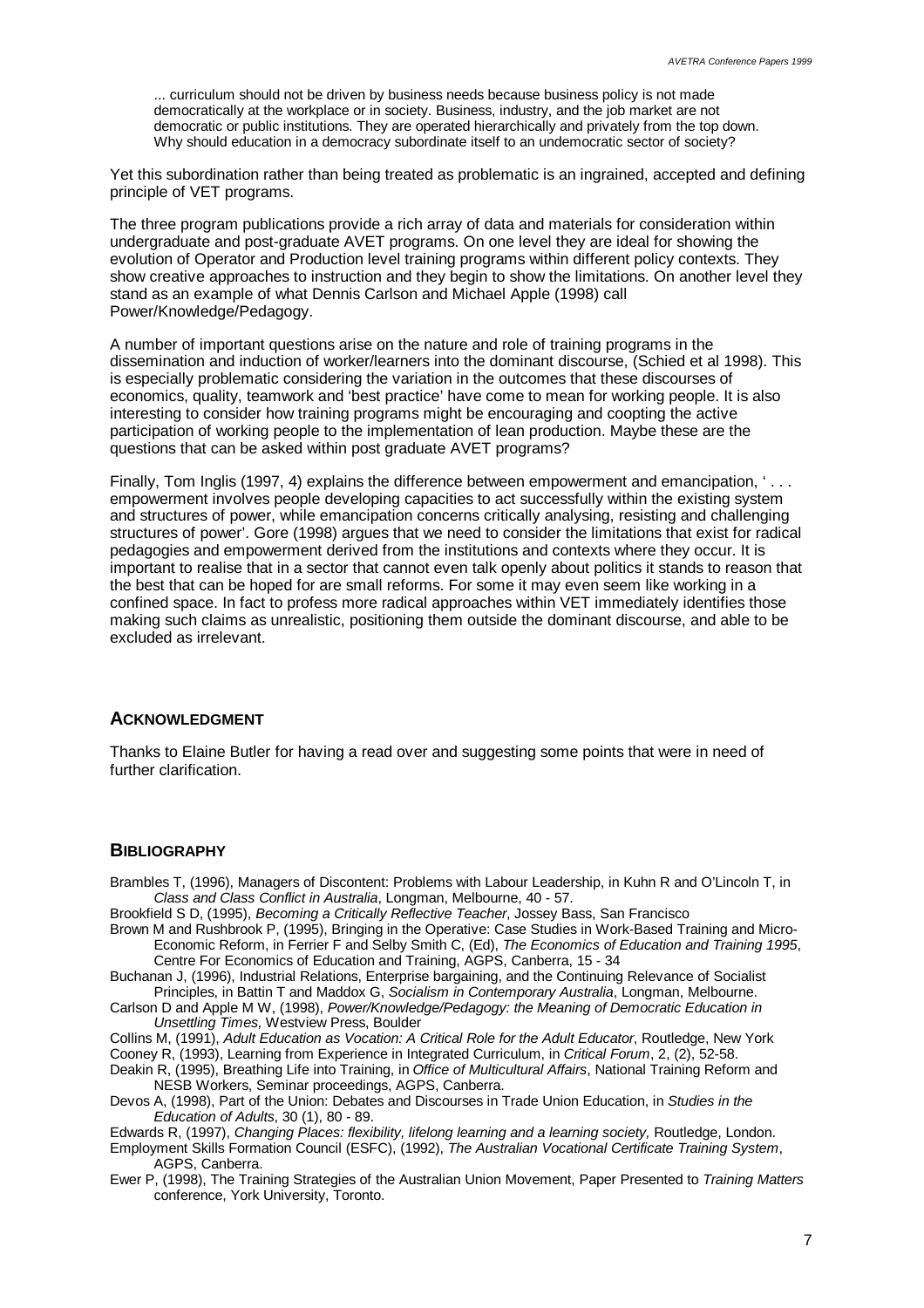... curriculum should not be driven by business needs because business policy is not made democratically at the workplace or in society. Business, industry, and the job market are not democratic or public institutions. They are operated hierarchically and privately from the top down. Why should education in a democracy subordinate itself to an undemocratic sector of society?

Yet this subordination rather than being treated as problematic is an ingrained, accepted and defining principle of VET programs.

The three program publications provide a rich array of data and materials for consideration within undergraduate and post-graduate AVET programs. On one level they are ideal for showing the evolution of Operator and Production level training programs within different policy contexts. They show creative approaches to instruction and they begin to show the limitations. On another level they stand as an example of what Dennis Carlson and Michael Apple (1998) call Power/Knowledge/Pedagogy.

A number of important questions arise on the nature and role of training programs in the dissemination and induction of worker/learners into the dominant discourse, (Schied et al 1998). This is especially problematic considering the variation in the outcomes that these discourses of economics, quality, teamwork and 'best practice' have come to mean for working people. It is also interesting to consider how training programs might be encouraging and coopting the active participation of working people to the implementation of lean production. Maybe these are the questions that can be asked within post graduate AVET programs?

Finally, Tom Inglis (1997, 4) explains the difference between empowerment and emancipation, '... empowerment involves people developing capacities to act successfully within the existing system and structures of power, while emancipation concerns critically analysing, resisting and challenging structures of power'. Gore (1998) argues that we need to consider the limitations that exist for radical pedagogies and empowerment derived from the institutions and contexts where they occur. It is important to realise that in a sector that cannot even talk openly about politics it stands to reason that the best that can be hoped for are small reforms. For some it may even seem like working in a confined space. In fact to profess more radical approaches within VET immediately identifies those making such claims as unrealistic, positioning them outside the dominant discourse, and able to be excluded as irrelevant.

#### **ACKNOWLEDGMENT**

Thanks to Elaine Butler for having a read over and suggesting some points that were in need of further clarification.

#### **BIBLIOGRAPHY**

Brambles T, (1996), Managers of Discontent: Problems with Labour Leadership, in Kuhn R and O'Lincoln T, in *Class and Class Conflict in Australia*, Longman, Melbourne, 40 - 57.

Brookfield S D, (1995), *Becoming a Critically Reflective Teacher*, Jossey Bass, San Francisco

Brown M and Rushbrook P, (1995), Bringing in the Operative: Case Studies in Work-Based Training and Micro-Economic Reform, in Ferrier F and Selby Smith C, (Ed), *The Economics of Education and Training 1995*, Centre For Economics of Education and Training, AGPS, Canberra, 15 - 34

Buchanan J, (1996), Industrial Relations, Enterprise bargaining, and the Continuing Relevance of Socialist Principles, in Battin T and Maddox G, *Socialism in Contemporary Australia*, Longman, Melbourne.

Carlson D and Apple M W, (1998), *Power/Knowledge/Pedagogy: the Meaning of Democratic Education in Unsettling Times,* Westview Press, Boulder

Collins M, (1991), *Adult Education as Vocation: A Critical Role for the Adult Educator*, Routledge, New York Cooney R, (1993), Learning from Experience in Integrated Curriculum, in *Critical Forum*, 2, (2), 52-58.

Deakin R, (1995), Breathing Life into Training, in *Office of Multicultural Affairs*, National Training Reform and NESB Workers, Seminar proceedings, AGPS, Canberra.

Devos A, (1998), Part of the Union: Debates and Discourses in Trade Union Education, in *Studies in the Education of Adults*, 30 (1), 80 - 89.

Edwards R, (1997), *Changing Places: flexibility, lifelong learning and a learning society,* Routledge, London.

Employment Skills Formation Council (ESFC), (1992), *The Australian Vocational Certificate Training System*, AGPS, Canberra.

Ewer P, (1998), The Training Strategies of the Australian Union Movement, Paper Presented to *Training Matters* conference, York University, Toronto.